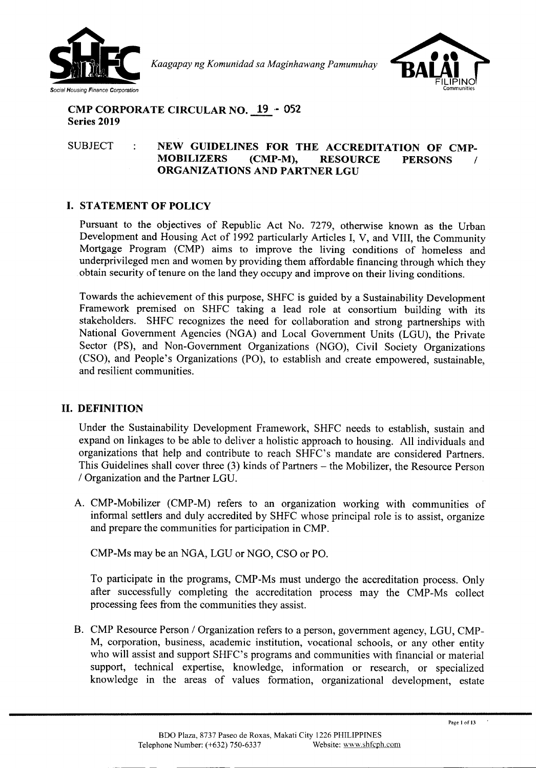

*Kaagapay ng Komunidad sa Maginhawang Pamumuhay*



## **CMP CORPORATE CIRCULAR NO. 19 ,\_ 052 Series 2019**

## SUBJECT **NEW GUIDELINES FOR THE ACCREDITATION OF CMP-MOBILIZERS (CMP-M), RESOURCE PERSONS / ORGANIZATIONS AND PARTNER LGU**

# **I. STATEMENT OF POLICY**

Pursuant to the objectives of Republic Act No. 7279, otherwise known as the Urban Development and Housing Act of 1992 particularly Articles I, V, and VIII, the Community Mortgage Program (CMP) aims to improve the living conditions of homeless and underprivileged men and women by providing them affordable financing through which they obtain security of tenure on the land they occupy and improve on their living conditions.

Towards the achievement of this purpose, SHFC is guided by a Sustainability Development Framework premised on SHFC taking a lead role at consortium building with its stakeholders. SHFC recognizes the need for collaboration and strong partnerships with National Government Agencies (NGA) and Local Government Units (LGU), the Private Sector (PS), and Non-Government Organizations (NGO), Civil Society Organizations (CSO), and People's Organizations (PO), to establish and create empowered, sustainable, and resilient communities.

## **II. DEFINITION**

Under the Sustainability Development Framework, SHFC needs to establish, sustain and expand on linkages to be able to deliver a holistic approach to housing. All individuals and organizations that help and contribute to reach SHFC's mandate are considered Partners. This Guidelines shall cover three (3) kinds of Partners - the Mobilizer, the Resource Person *I* Organization and the Partner LGU.

A. CMP-Mobilizer (CMP-M) refers to an organization working with communities of informal settlers and duly accredited by SHFC whose principal role is to assist, organize and prepare the communities for participation in CMP.

CMP-Ms may be an NGA, LGU or NGO, CSO or PO.

To participate in the programs, CMP-Ms must undergo the accreditation process. Only after successfully completing the accreditation process may the CMP-Ms collect processing fees from the communities they assist.

B. CMP Resource Person *I* Organization refers to a person, government agency, LGU, CMP-M, corporation, business, academic institution, vocational schools, or any other entity who will assist and support SHFC's programs and communities with financial or material support, technical expertise, knowledge, information or research, or specialized knowledge in the areas of values formation, organizational development, estate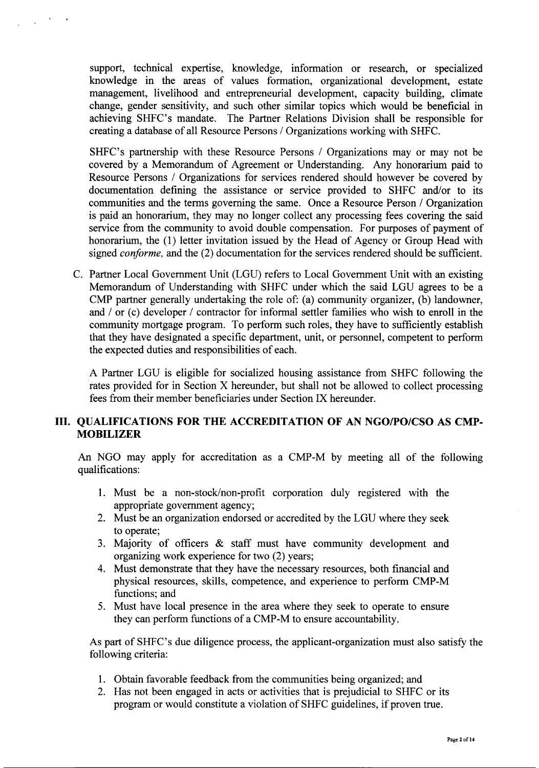support, technical expertise, knowledge, information or research, or specialized knowledge in the areas of values formation, organizational development, estate management, livelihood and entrepreneurial development, capacity building, climate change, gender sensitivity, and such other similar topics which would be beneficial in achieving SHFC's mandate. The Partner Relations Division shall be responsible for creating a database of all Resource Persons / Organizations working with SHFC.

SHFC's partnership with these Resource Persons / Organizations may or may not be covered by a Memorandum of Agreement or Understanding. Any honorarium paid to Resource Persons / Organizations for services rendered should however be covered by documentation defining the assistance or service provided to SHFC and/or to its communities and the terms governing the same. Once a Resource Person / Organization is paid an honorarium, they may no longer collect any processing fees covering the said service from the community to avoid double compensation. For purposes of payment of honorarium, the (1) letter invitation issued by the Head of Agency or Group Head with signed *conforme,* and the (2) documentation for the services rendered should be sufficient.

C. Partner Local Government Unit (LGU) refers to Local Government Unit with an existing Memorandum of Understanding with SHFC under which the said LGU agrees to be a CMP partner generally undertaking the role of: (a) community organizer, (b) landowner, and / or (c) developer / contractor for informal settler families who wish to enroll in the community mortgage program. To perform such roles, they have to sufficiently establish that they have designated a specific department, unit, or personnel, competent to perform the expected duties and responsibilities of each.

A Partner LGU is eligible for socialized housing assistance from SHFC following the rates provided for in Section X hereunder, but shall not be allowed to collect processing fees from their member beneficiaries under Section IX hereunder.

# III. QUALIFICATIONS FOR THE ACCREDITATION OF AN NGO/PO/CSO AS CMP-MOBILIZER

An NGO may apply for accreditation as a CMP-M by meeting all of the following qualifications:

- 1. Must be a non-stock/non-profit corporation duly registered with the appropriate government agency;
- 2. Must be an organization endorsed or accredited by the LGU where they seek to operate;
- 3. Majority of officers & staff must have community development and organizing work experience for two (2) years;
- 4. Must demonstrate that they have the necessary resources, both financial and physical resources, skills, competence, and experience to perform CMP-M functions; and
- 5. Must have local presence in the area where they seek to operate to ensure they can perform functions of a CMP-M to ensure accountability.

As part of SHFC's due diligence process, the applicant-organization must also satisfy the following criteria:

- 1. Obtain favorable feedback from the communities being organized; and
- 2. Has not been engaged in acts or activities that is prejudicial to SHFC or its program or would constitute a violation of SHFC guidelines, if proven true.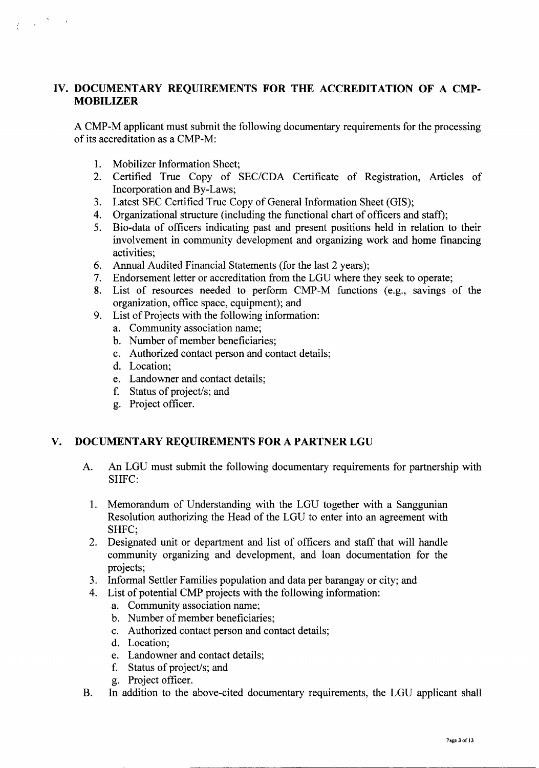# IV. DOCUMENTARY REQUIREMENTS FOR THE ACCREDITATION OF A CMP-MOBILIZER

A CMP-M applicant must submit the following documentary requirements for the processing of its accreditation as a CMP-M:

- 1. Mobilizer Information Sheet;
- 2. Certified True Copy of *SEC/CDA* Certificate of Registration, Articles of Incorporation and By-Laws;
- 3. Latest SEC Certified True Copy of General Information Sheet (GIS);
- 4. Organizational structure (including the functional chart of officers and staff);
- 5. Bio-data of officers indicating past and present positions held in relation to their involvement in community development and organizing work and home financing activities;
- 6. Annual Audited Financial Statements (for the last 2 years);
- 7. Endorsement letter or accreditation from the LGU where they seek to operate;
- 8. List of resources needed to perform CMP-M functions (e.g., savings of the organization, office space, equipment); and
- 9. List of Projects with the following information:
	- a. Community association name;
	- b. Number of member beneficiaries;
	- c. Authorized contact person and contact details;
	- d. Location;
	- e. Landowner and contact details;
	- f. Status of project/s; and
	- g. Project officer.

## V. DOCUMENTARY REQUIREMENTS FOR A PARTNER LGU

- A. An LGU must submit the following documentary requirements for partnership with SHFC:
	- 1. Memorandum of Understanding with the LGU together with a Sanggunian Resolution authorizing the Head of the LGU to enter into an agreement with SHFC;
	- 2. Designated unit or department and list of officers and staff that will handle community organizing and development, and loan documentation for the projects;
	- 3. Informal Settler Families population and data per barangay or city; and
	- 4. List of potential CMP projects with the following information:
		- a. Community association name;
		- b. Number of member beneficiaries;
		- c. Authorized contact person and contact details;
		- d. Location;
		- e. Landowner and contact details;
		- f. Status of project/s; and
		- g. Project officer.
- B. In addition to the above-cited documentary requirements, the LGU applicant shall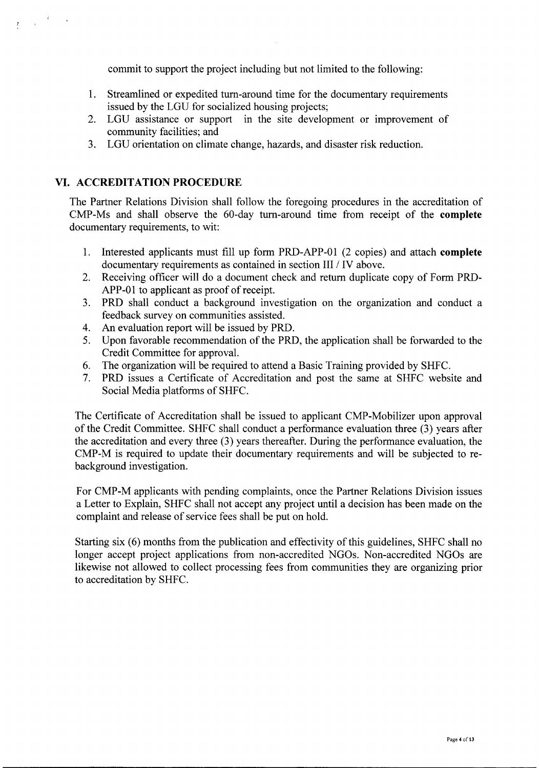commit to support the project including but not limited to the following:

- 1. Streamlined or expedited turn-around time for the documentary requirements issued by the LGU for socialized housing projects;
- 2. LGU assistance or support in the site development or improvement of community facilities; and
- 3. LGU orientation on climate change, hazards, and disaster risk reduction.

# **VI. ACCREDITATION PROCEDURE**

 $\label{eq:2} \frac{1}{\sqrt{2\pi}}\int_{0}^{\infty}\frac{dx}{\sqrt{2\pi}}\,dx\to0$ 

The Partner Relations Division shall follow the foregoing procedures in the accreditation of CMP-Ms and shall observe the 60-day turn-around time from receipt of the **complete** documentary requirements, to wit:

- 1. Interested applicants must fill up form PRD-APP-Ol (2 copies) and attach **complete** documentary requirements as contained in section III / IV above.
- 2. Receiving officer will do a document check and return duplicate copy of Form PRD-APP-01 to applicant as proof of receipt.
- 3. PRD shall conduct a background investigation on the organization and conduct a feedback survey on communities assisted.
- 4. An evaluation report will be issued by PRD.
- 5. Upon favorable recommendation of the PRD, the application shall be forwarded to the Credit Committee for approval.
- 6. The organization will be required to attend a Basic Training provided by SHFC.
- 7. PRD issues a Certificate of Accreditation and post the same at SHFC website and Social Media platforms of SHFC.

The Certificate of Accreditation shall be issued to applicant CMP-Mobilizer upon approval of the Credit Committee. SHFC shall conduct a performance evaluation three (3) years after the accreditation and every three (3) years thereafter. During the performance evaluation, the CMP-M is required to update their documentary requirements and will be subjected to rebackground investigation.

For CMP-M applicants with pending complaints, once the Partner Relations Division issues a Letter to Explain, SHFC shall not accept any project until a decision has been made on the complaint and release of service fees shall be put on hold.

Starting six (6) months from the publication and effectivity of this guidelines, SHFC shall no longer accept project applications from non-accredited NGOs. Non-accredited NGOs are likewise not allowed to collect processing fees from communities they are organizing prior to accreditation by SHFC.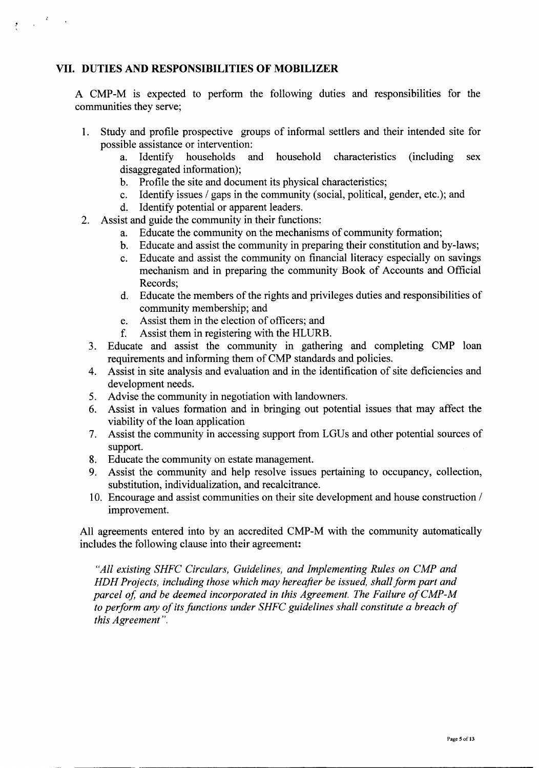## **VII. DUTIES AND RESPONSIBILITIES OF MOBILIZER**

 $\frac{1}{2} \int_{0}^{\infty} \frac{d^2y}{\sqrt{2}} \, dy = 1$ 

A CMP-M is expected to perform the following duties and responsibilities for the communities they serve;

- 1. Study and profile prospective groups of informal settlers and their intended site for possible assistance or intervention:
	- a. Identify households and household characteristics (including sex disaggregated information);
	- b. Profile the site and document its physical characteristics;
	- c. Identify issues *I* gaps in the community (social, political, gender, etc.); and
	- d. Identify potential or apparent leaders.
- 2. Assist and guide the community in their functions:
	- a. Educate the community on the mechanisms of community formation;
	- b. Educate and assist the community in preparing their constitution and by-laws;
	- c. Educate and assist the community on financial literacy especially on savings mechanism and in preparing the community Book of Accounts and Official Records;
	- d. Educate the members of the rights and privileges duties and responsibilities of community membership; and
	- e. Assist them in the election of officers; and
	- f. Assist them in registering with the HLURB.
	- 3. Educate and assist the community in gathering and completing CMP loan requirements and informing them of CMP standards and policies.
	- 4. Assist in site analysis and evaluation and in the identification of site deficiencies and development needs.
	- 5. Advise the community in negotiation with landowners.
	- 6. Assist in values formation and in bringing out potential issues that may affect the viability of the loan application
	- 7. Assist the community in accessing support from LGUs and other potential sources of support.
	- 8. Educate the community on estate management.
	- 9. Assist the community and help resolve issues pertaining to occupancy, collection, substitution, individualization, and recalcitrance.
	- 10. Encourage and assist communities on their site development and house construction *I* improvement.

All agreements entered into by an accredited CMP-M with the community automatically includes the following clause into their agreement:

*"All existing SHFC Circulars, Guidelines, and Implementing Rules on CMP and HDH Projects, including those which may hereafter be issued, shallform part and parcel of, and be deemed incorporated in this Agreement. The Failure ofCMP-M to perform any of itsfunctions under SHFC guidelines shall constitute a breach of this Agreement".*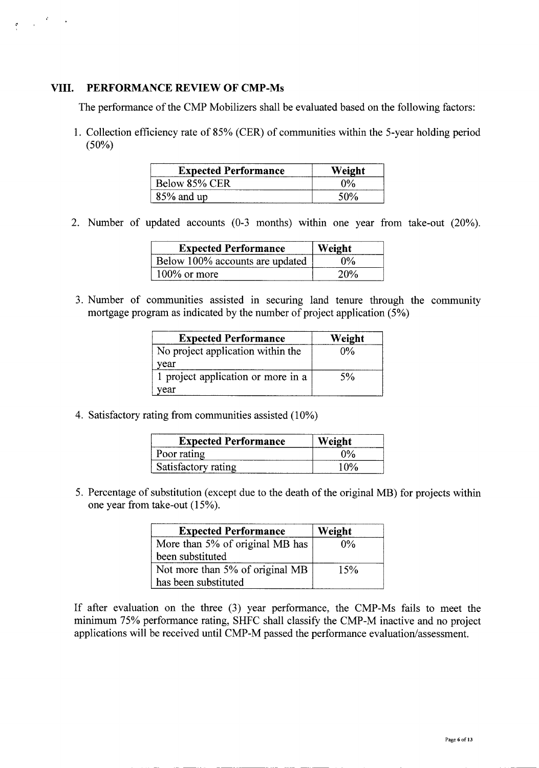## **VIII. PERFORMANCE REVIEW OF CMP-Ms**

 $\label{eq:2.1} \frac{1}{\sqrt{2\pi}}\left(\frac{2\pi}{\pi}\right)^{2/3} \frac{1}{\sqrt{2\pi}}\, .$ 

The performance of the CMP Mobilizers shall be evaluated based on the following factors:

1. Collection efficiency rate of 85% (CER) of communities within the 5-year holding period  $(50\%)$ 

| <b>Expected Performance</b> | Weight                |
|-----------------------------|-----------------------|
| Below 85% CER               | $\gamma$ <sup>o</sup> |
| $85\%$ and up               |                       |

2. Number of updated accounts (0-3 months) within one year from take-out (20%).

| <b>Expected Performance</b>     | Weight      |
|---------------------------------|-------------|
| Below 100% accounts are updated | $0\%$       |
| $100\%$ or more                 | <b>2U07</b> |

3. Number of commumties assisted in securing land tenure through the community mortgage program as indicated by the number of project application (5%)

| <b>Expected Performance</b>        | Weight |
|------------------------------------|--------|
| No project application within the  | $0\%$  |
| vear                               |        |
| 1 project application or more in a | 5%     |
| year                               |        |

4. Satisfactory rating from communities assisted (10%)

| <b>Expected Performance</b> | Weight  |
|-----------------------------|---------|
| Poor rating                 | ሳዓራ     |
| Satisfactory rating         | 1 I VOZ |

5. Percentage of substitution (except due to the death of the original MB) for projects within one year from take-out (15%).

| <b>Expected Performance</b>     | Weight |
|---------------------------------|--------|
| More than 5% of original MB has | 0%     |
| been substituted                |        |
| Not more than 5% of original MB | 15%    |
| has been substituted            |        |

If after evaluation on the three (3) year performance, the CMP-Ms fails to meet the minimum 75% performance rating, SHFC shall classify the CMP-M inactive and no project applications will be received until CMP-M passed the performance evaluation/assessment.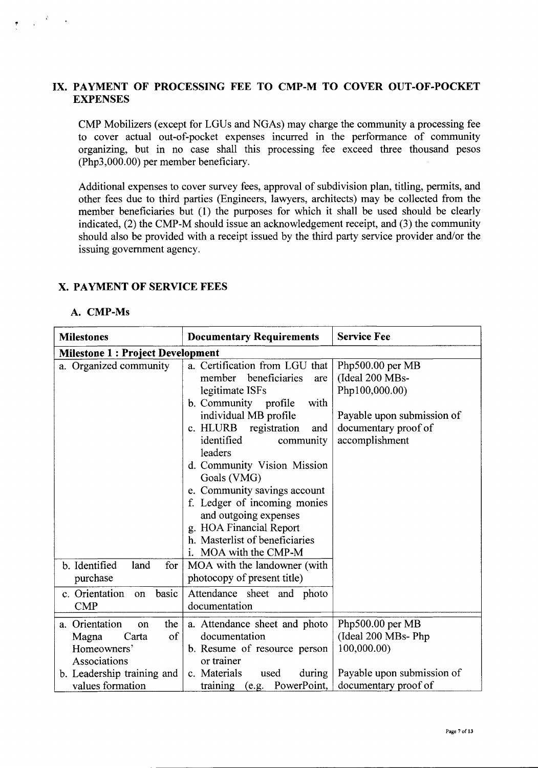## IX. PAYMENT OF PROCESSING FEE TO CMP-M TO COVER OUT-OF-POCKET **EXPENSES**

CMP Mobilizers (except for LGUs and NGAs) may charge the community a processing fee to cover actual out-of-pocket expenses incurred in the performance of community organizing, but in no case shall this processing fee exceed three thousand pesos (Php3,000.00) per member beneficiary.

Additional expenses to cover survey fees, approval of subdivision plan, titling, permits, and other fees due to third parties (Engineers, lawyers, architects) may be collected from the member beneficiaries but (1) the purposes for which it shall be used should be clearly indicated, (2) the CMP-M should issue an acknowledgement receipt, and (3) the community should also be provided with a receipt issued by the third party service provider *andlor* the issuing government agency.

## X. PAYMENT OF SERVICE FEES

#### A. CMP-Ms

| <b>Milestones</b>                                                                                                | <b>Documentary Requirements</b>                                                                                                                                                                                                                                                                                                                                                                                                                 | <b>Service Fee</b>                                                                                                            |
|------------------------------------------------------------------------------------------------------------------|-------------------------------------------------------------------------------------------------------------------------------------------------------------------------------------------------------------------------------------------------------------------------------------------------------------------------------------------------------------------------------------------------------------------------------------------------|-------------------------------------------------------------------------------------------------------------------------------|
| <b>Milestone 1: Project Development</b>                                                                          |                                                                                                                                                                                                                                                                                                                                                                                                                                                 |                                                                                                                               |
| a. Organized community                                                                                           | a. Certification from LGU that<br>beneficiaries<br>member<br>are<br>legitimate ISFs<br>b. Community profile<br>with<br>individual MB profile<br>c. HLURB registration<br>and<br>identified<br>community<br>leaders<br>d. Community Vision Mission<br>Goals (VMG)<br>e. Community savings account<br>f. Ledger of incoming monies<br>and outgoing expenses<br>g. HOA Financial Report<br>h. Masterlist of beneficiaries<br>i. MOA with the CMP-M | Php500.00 per MB<br>(Ideal 200 MBs-<br>Php100,000.00)<br>Payable upon submission of<br>documentary proof of<br>accomplishment |
| b. Identified<br>land<br>for<br>purchase                                                                         | MOA with the landowner (with<br>photocopy of present title)                                                                                                                                                                                                                                                                                                                                                                                     |                                                                                                                               |
| c. Orientation<br>basic<br>on<br><b>CMP</b>                                                                      | Attendance sheet and photo<br>documentation                                                                                                                                                                                                                                                                                                                                                                                                     |                                                                                                                               |
| a. Orientation<br>the<br>on<br>of<br>Carta<br>Magna<br>Homeowners'<br>Associations<br>b. Leadership training and | a. Attendance sheet and photo<br>documentation<br>b. Resume of resource person<br>or trainer<br>c. Materials<br>used<br>during                                                                                                                                                                                                                                                                                                                  | Php500.00 per MB<br>(Ideal 200 MBs- Php<br>100,000.00)<br>Payable upon submission of                                          |
| values formation                                                                                                 | training (e.g. PowerPoint,                                                                                                                                                                                                                                                                                                                                                                                                                      | documentary proof of                                                                                                          |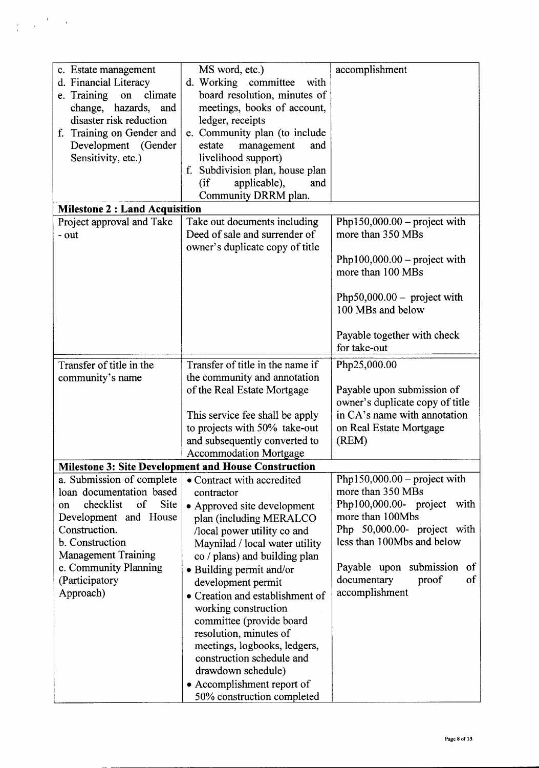| c. Estate management                  | MS word, etc.)                                              | accomplishment                                                |
|---------------------------------------|-------------------------------------------------------------|---------------------------------------------------------------|
| d. Financial Literacy                 | d. Working<br>committee<br>with                             |                                                               |
| e. Training<br>climate<br>on          | board resolution, minutes of                                |                                                               |
| change, hazards, and                  | meetings, books of account,                                 |                                                               |
| disaster risk reduction               | ledger, receipts                                            |                                                               |
| f. Training on Gender and             | e. Community plan (to include                               |                                                               |
| Development (Gender                   | estate<br>management<br>and                                 |                                                               |
| Sensitivity, etc.)                    | livelihood support)                                         |                                                               |
|                                       | f. Subdivision plan, house plan                             |                                                               |
|                                       | applicable),<br>(i f)<br>and                                |                                                               |
|                                       | Community DRRM plan.                                        |                                                               |
| <b>Milestone 2 : Land Acquisition</b> |                                                             |                                                               |
| Project approval and Take             | Take out documents including                                | Php150,000.00 – project with                                  |
| - out                                 | Deed of sale and surrender of                               | more than 350 MBs                                             |
|                                       | owner's duplicate copy of title                             |                                                               |
|                                       |                                                             | Php100,000.00 - project with                                  |
|                                       |                                                             | more than 100 MBs                                             |
|                                       |                                                             |                                                               |
|                                       |                                                             | Php50,000.00 – project with                                   |
|                                       |                                                             | 100 MBs and below                                             |
|                                       |                                                             | Payable together with check                                   |
|                                       |                                                             | for take-out                                                  |
|                                       |                                                             |                                                               |
| Transfer of title in the              | Transfer of title in the name if                            | Php25,000.00                                                  |
| community's name                      | the community and annotation                                |                                                               |
|                                       | of the Real Estate Mortgage                                 | Payable upon submission of<br>owner's duplicate copy of title |
|                                       | This service fee shall be apply                             | in CA's name with annotation                                  |
|                                       | to projects with 50% take-out                               | on Real Estate Mortgage                                       |
|                                       | and subsequently converted to                               | (REM)                                                         |
|                                       | <b>Accommodation Mortgage</b>                               |                                                               |
|                                       | <b>Milestone 3: Site Development and House Construction</b> |                                                               |
| a. Submission of complete             | • Contract with accredited                                  | Php150,000.00 – project with                                  |
| loan documentation based              | contractor                                                  | more than 350 MBs                                             |
| checklist<br>of<br>Site<br>on         | • Approved site development                                 | Php100,000.00- project<br>with                                |
| Development and House                 | plan (including MERALCO                                     | more than 100Mbs                                              |
| Construction.                         | /local power utility co and                                 | Php 50,000.00- project with                                   |
| b. Construction                       | Maynilad / local water utility                              | less than 100Mbs and below                                    |
| <b>Management Training</b>            | co / plans) and building plan                               |                                                               |
| c. Community Planning                 | • Building permit and/or                                    | Payable upon submission<br>of                                 |
| (Participatory                        | development permit                                          | of<br>documentary<br>proof                                    |
| Approach)                             | • Creation and establishment of                             | accomplishment                                                |
|                                       | working construction                                        |                                                               |
|                                       | committee (provide board                                    |                                                               |
|                                       | resolution, minutes of                                      |                                                               |
|                                       | meetings, logbooks, ledgers,                                |                                                               |
|                                       | construction schedule and                                   |                                                               |
|                                       | drawdown schedule)                                          |                                                               |
|                                       | • Accomplishment report of                                  |                                                               |
|                                       | 50% construction completed                                  |                                                               |

 $\label{eq:2} \frac{1}{\sqrt{2}}\int_{0}^{\frac{\pi}{2}}\frac{dx}{\sqrt{2\pi}}\left(\frac{dx}{\sqrt{2\pi}}\right)^{2\pi/2}\frac{dx}{\sqrt{2\pi}}\,dx$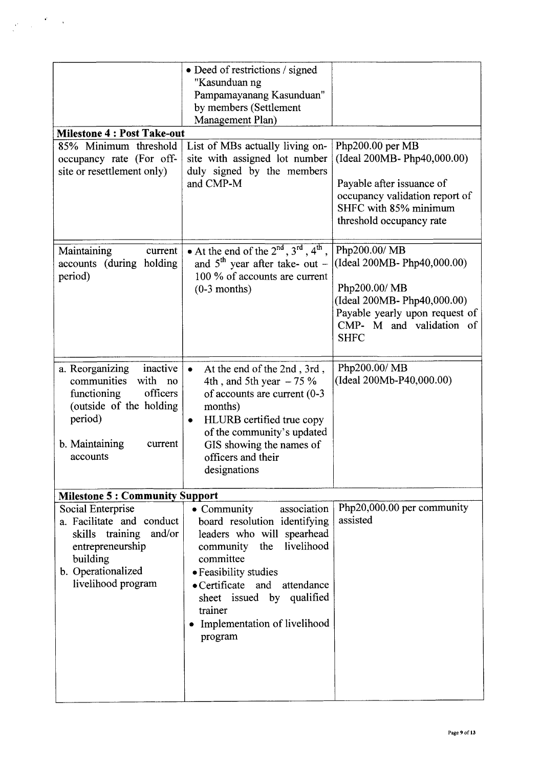|                                                                                                                                                                 | • Deed of restrictions / signed<br>"Kasunduan ng<br>Pampamayanang Kasunduan"<br>by members (Settlement<br>Management Plan)                                                                                                                                                                     |                                                                                                                                                                          |
|-----------------------------------------------------------------------------------------------------------------------------------------------------------------|------------------------------------------------------------------------------------------------------------------------------------------------------------------------------------------------------------------------------------------------------------------------------------------------|--------------------------------------------------------------------------------------------------------------------------------------------------------------------------|
| <b>Milestone 4: Post Take-out</b><br>85% Minimum threshold                                                                                                      | List of MBs actually living on-                                                                                                                                                                                                                                                                | Php200.00 per MB                                                                                                                                                         |
| occupancy rate (For off-<br>site or resettlement only)                                                                                                          | site with assigned lot number<br>duly signed by the members<br>and CMP-M                                                                                                                                                                                                                       | (Ideal 200MB- Php40,000.00)<br>Payable after issuance of<br>occupancy validation report of<br>SHFC with 85% minimum<br>threshold occupancy rate                          |
| Maintaining<br>current<br>accounts (during holding<br>period)                                                                                                   | • At the end of the $2^{nd}$ , $3^{rd}$ , $4^{th}$ ,<br>and $5^{\text{th}}$ year after take- out -<br>100 % of accounts are current<br>$(0-3$ months)                                                                                                                                          | Php200.00/ MB<br>(Ideal 200MB-Php40,000.00)<br>Php200.00/ MB<br>(Ideal 200MB- Php40,000.00)<br>Payable yearly upon request of<br>CMP- M and validation of<br><b>SHFC</b> |
| inactive<br>a. Reorganizing<br>communities<br>with no<br>officers<br>functioning<br>(outside of the holding<br>period)<br>b. Maintaining<br>current<br>accounts | At the end of the 2nd, 3rd,<br>$\bullet$<br>4th , and 5th year $-75%$<br>of accounts are current $(0-3)$<br>months)<br>HLURB certified true copy<br>۰<br>of the community's updated<br>GIS showing the names of<br>officers and their<br>designations                                          | Php200.00/ MB<br>(Ideal 200Mb-P40,000.00)                                                                                                                                |
| <b>Milestone 5: Community Support</b>                                                                                                                           |                                                                                                                                                                                                                                                                                                |                                                                                                                                                                          |
| Social Enterprise<br>a. Facilitate and conduct<br>skills training and/or<br>entrepreneurship<br>building<br>b. Operationalized<br>livelihood program            | association<br>• Community<br>board resolution identifying<br>leaders who will spearhead<br>livelihood<br>the<br>community<br>committee<br>• Feasibility studies<br>$\bullet$ Certificate<br>and attendance<br>sheet issued by qualified<br>trainer<br>Implementation of livelihood<br>program | Php20,000.00 per community<br>assisted                                                                                                                                   |

 $\label{eq:1} \frac{1}{\sqrt{2}}\sum_{i=1}^n\frac{1}{\sqrt{2}}\sum_{i=1}^n\frac{1}{\sqrt{2}}\sum_{i=1}^n\frac{1}{\sqrt{2}}\sum_{i=1}^n\frac{1}{\sqrt{2}}\sum_{i=1}^n\frac{1}{\sqrt{2}}\sum_{i=1}^n\frac{1}{\sqrt{2}}\sum_{i=1}^n\frac{1}{\sqrt{2}}\sum_{i=1}^n\frac{1}{\sqrt{2}}\sum_{i=1}^n\frac{1}{\sqrt{2}}\sum_{i=1}^n\frac{1}{\sqrt{2}}\sum_{i=1}^n\frac{1$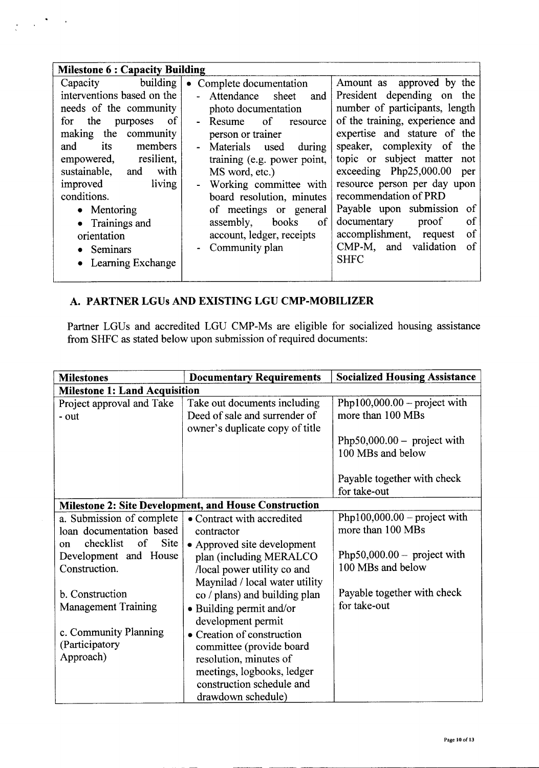| <b>Milestone 6: Capacity Building</b>                                                                                                                                                                                                                                                                                                                |                                                                                                                                                                                                                                                                                                                                                                                          |                                                                                                                                                                                                                                                                                                                                                                                                                                                                                           |  |
|------------------------------------------------------------------------------------------------------------------------------------------------------------------------------------------------------------------------------------------------------------------------------------------------------------------------------------------------------|------------------------------------------------------------------------------------------------------------------------------------------------------------------------------------------------------------------------------------------------------------------------------------------------------------------------------------------------------------------------------------------|-------------------------------------------------------------------------------------------------------------------------------------------------------------------------------------------------------------------------------------------------------------------------------------------------------------------------------------------------------------------------------------------------------------------------------------------------------------------------------------------|--|
| Capacity building<br>interventions based on the<br>needs of the community<br>for the<br>- of<br>purposes<br>making the community<br>its<br>members<br>and<br>resilient,<br>empowered,<br>sustainable, and<br>with<br>living<br>improved<br>conditions.<br>$\bullet$ Mentoring<br>• Trainings and<br>orientation<br>• Seminars<br>• Learning Exchange | Complete documentation<br>$\bullet$<br>Attendance<br>sheet<br>and<br>photo documentation<br>$\sigma$<br>Resume<br>resource<br>person or trainer<br>Materials used<br>during<br>training (e.g. power point,<br>MS word, etc.)<br>Working committee with<br>board resolution, minutes<br>of meetings or general<br>assembly,<br>books<br>of<br>account, ledger, receipts<br>Community plan | Amount as approved by the<br>President depending on the<br>number of participants, length<br>of the training, experience and<br>expertise and stature of the<br>speaker, complexity of the<br>topic or subject matter not<br>exceeding $Php25,000.00$<br>per<br>resource person per day upon<br>recommendation of PRD<br>Payable upon submission<br>of<br><sub>of</sub><br>documentary<br>proof<br>accomplishment, request<br><sub>of</sub><br>of<br>CMP-M, and validation<br><b>SHFC</b> |  |
|                                                                                                                                                                                                                                                                                                                                                      |                                                                                                                                                                                                                                                                                                                                                                                          |                                                                                                                                                                                                                                                                                                                                                                                                                                                                                           |  |

# A. PARTNER LGUs AND EXISTING LGU CMP-MOBILIZER

 $\frac{1}{2}$  ,  $\frac{1}{2}$  ,  $\frac{1}{2}$  ,  $\frac{1}{2}$  ,  $\frac{1}{2}$ 

Partner LGUs and accredited LGU CMP-Ms are eligible for socialized housing assistance from SHFC as stated below upon submission of required documents:

| <b>Milestones</b>                                                                                                                                                                                                 | <b>Documentary Requirements</b>                                                                                                                                                                                                                                                      | <b>Socialized Housing Assistance</b>                                                                                                                 |  |  |
|-------------------------------------------------------------------------------------------------------------------------------------------------------------------------------------------------------------------|--------------------------------------------------------------------------------------------------------------------------------------------------------------------------------------------------------------------------------------------------------------------------------------|------------------------------------------------------------------------------------------------------------------------------------------------------|--|--|
|                                                                                                                                                                                                                   | <b>Milestone 1: Land Acquisition</b>                                                                                                                                                                                                                                                 |                                                                                                                                                      |  |  |
| Project approval and Take<br>- out                                                                                                                                                                                | Take out documents including<br>Deed of sale and surrender of<br>owner's duplicate copy of title                                                                                                                                                                                     | Php100,000.00 – project with<br>more than 100 MBs                                                                                                    |  |  |
|                                                                                                                                                                                                                   |                                                                                                                                                                                                                                                                                      | Php50,000.00 – project with<br>100 MBs and below                                                                                                     |  |  |
|                                                                                                                                                                                                                   |                                                                                                                                                                                                                                                                                      | Payable together with check<br>for take-out                                                                                                          |  |  |
|                                                                                                                                                                                                                   | Milestone 2: Site Development, and House Construction                                                                                                                                                                                                                                |                                                                                                                                                      |  |  |
| a. Submission of complete<br>loan documentation based<br>checklist<br><b>Site</b><br>of<br>on<br>Development and House<br>Construction.<br>b. Construction<br><b>Management Training</b><br>c. Community Planning | • Contract with accredited<br>contractor<br>• Approved site development<br>plan (including MERALCO<br>/local power utility co and<br>Maynilad / local water utility<br>co / plans) and building plan<br>• Building permit and/or<br>development permit<br>• Creation of construction | Php100,000.00 – project with<br>more than 100 MBs<br>Php50,000.00 – project with<br>100 MBs and below<br>Payable together with check<br>for take-out |  |  |
| (Participatory<br>Approach)                                                                                                                                                                                       | committee (provide board<br>resolution, minutes of<br>meetings, logbooks, ledger<br>construction schedule and<br>drawdown schedule)                                                                                                                                                  |                                                                                                                                                      |  |  |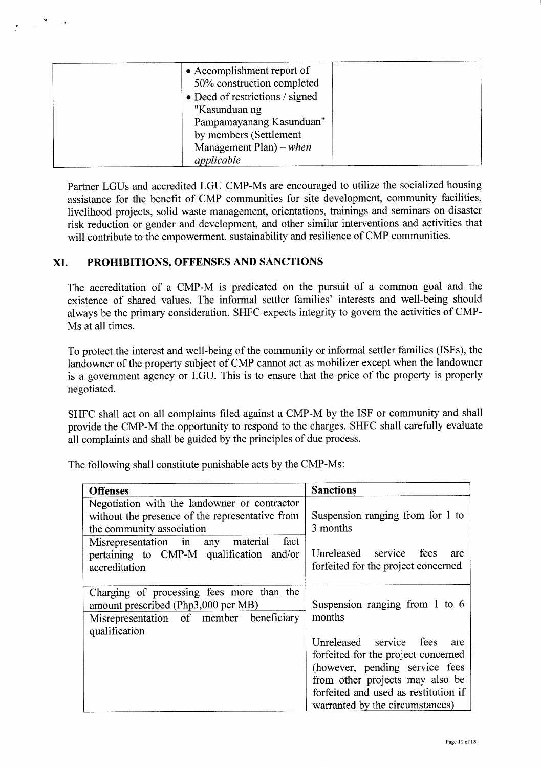| • Accomplishment report of      |  |
|---------------------------------|--|
| 50% construction completed      |  |
| • Deed of restrictions / signed |  |
| "Kasunduan ng                   |  |
| Pampamayanang Kasunduan"        |  |
| by members (Settlement          |  |
| Management Plan) – when         |  |
| applicable                      |  |

Partner LGUs and accredited LGU CMP-Ms are encouraged to utilize the socialized housing assistance for the benefit of CMP communities for site development, community facilities, livelihood projects, solid waste management, orientations, trainings and seminars on disaster risk reduction or gender and development, and other similar interventions and activities that will contribute to the empowerment, sustainability and resilience of CMP communities.

# **XI. PROHIBITIONS, OFFENSES AND SANCTIONS**

The accreditation of a CMP-M is predicated on the pursuit of a common goal and the existence of shared values. The informal settler families' interests and well-being should always be the primary consideration. SHFC expects integrity to govern the activities of CMP-Ms at all times.

To protect the interest and well-being of the community or informal settler families (ISFs), the landowner of the property subject of CMP cannot act as mobilizer except when the landowner is a government agency or LGU. This is to ensure that the price of the property is properly negotiated.

SHFC shall act on all complaints filed against a CMP-M by the ISF or community and shall provide the CMP-M the opportunity to respond to the charges. SHFC shall carefully evaluate all complaints and shall be guided by the principles of due process.

| <b>Offenses</b>                                                                                                                                                           | <b>Sanctions</b>                                                                                                                                                                                                      |
|---------------------------------------------------------------------------------------------------------------------------------------------------------------------------|-----------------------------------------------------------------------------------------------------------------------------------------------------------------------------------------------------------------------|
| Negotiation with the landowner or contractor<br>without the presence of the representative from<br>the community association<br>Misrepresentation in any material<br>fact | Suspension ranging from for 1 to<br>3 months                                                                                                                                                                          |
| pertaining to CMP-M qualification and/or<br>accreditation                                                                                                                 | Unreleased service fees<br>are<br>forfeited for the project concerned                                                                                                                                                 |
| Charging of processing fees more than the<br>amount prescribed (Php3,000 per MB)<br>Misrepresentation of member beneficiary<br>qualification                              | Suspension ranging from 1 to 6<br>months                                                                                                                                                                              |
|                                                                                                                                                                           | Unreleased service fees<br>are<br>forfeited for the project concerned<br>(however, pending service fees<br>from other projects may also be<br>forfeited and used as restitution if<br>warranted by the circumstances) |

The following shall constitute punishable acts by the CMP-Ms: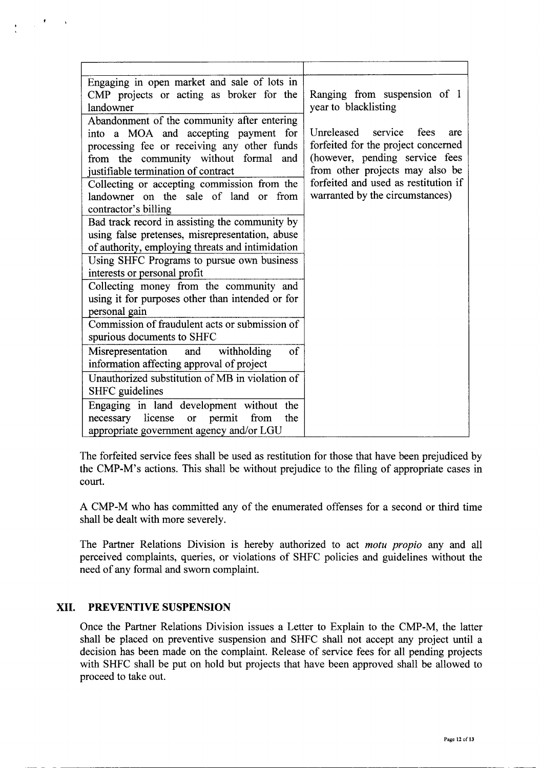| Engaging in open market and sale of lots in                       |                                                      |
|-------------------------------------------------------------------|------------------------------------------------------|
| CMP projects or acting as broker for the<br>landowner             | Ranging from suspension of 1<br>year to blacklisting |
| Abandonment of the community after entering                       |                                                      |
| into a MOA and accepting payment for                              | Unreleased service<br>fees<br>are                    |
| processing fee or receiving any other funds                       | forfeited for the project concerned                  |
| from the community without formal and                             | (however, pending service fees                       |
| justifiable termination of contract                               | from other projects may also be                      |
| Collecting or accepting commission from the                       | forfeited and used as restitution if                 |
| landowner on the sale of land or<br>from                          | warranted by the circumstances)                      |
| contractor's billing                                              |                                                      |
| Bad track record in assisting the community by                    |                                                      |
| using false pretenses, misrepresentation, abuse                   |                                                      |
| of authority, employing threats and intimidation                  |                                                      |
| Using SHFC Programs to pursue own business                        |                                                      |
| interests or personal profit                                      |                                                      |
| Collecting money from the community and                           |                                                      |
| using it for purposes other than intended or for<br>personal gain |                                                      |
| Commission of fraudulent acts or submission of                    |                                                      |
| spurious documents to SHFC                                        |                                                      |
| $\sigma$<br>and withholding<br>Misrepresentation                  |                                                      |
| information affecting approval of project                         |                                                      |
| Unauthorized substitution of MB in violation of                   |                                                      |
| SHFC guidelines                                                   |                                                      |
| Engaging in land development without the                          |                                                      |
| necessary license<br>from<br>or permit<br>the                     |                                                      |
| appropriate government agency and/or LGU                          |                                                      |

The forfeited service fees shall be used as restitution for those that have been prejudiced by the CMP-M's actions. This shall be without prejudice to the filing of appropriate cases in court.

A CMP-M who has committed any of the enumerated offenses for a second or third time shall be dealt with more severely.

The Partner Relations Division is hereby authorized to act *motu propio* any and all perceived complaints, queries, or violations of SHFC policies and guidelines without the need of any formal and sworn complaint.

## **XII. PREVENTIVE SUSPENSION**

Once the Partner Relations Division issues a Letter to Explain to the CMP-M, the latter shall be placed on preventive suspension and SHFC shall not accept any project until a decision has been made on the complaint. Release of service fees for all pending projects with SHFC shall be put on hold but projects that have been approved shall be allowed to proceed to take out.

--- ----------------------------------------------------------------------------